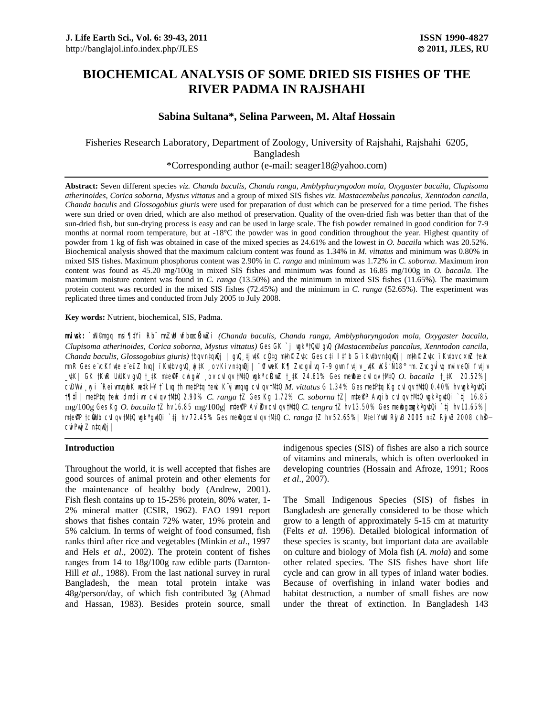# **BIOCHEMICAL ANALYSIS OF SOME DRIED SIS FISHES OF THE RIVER PADMA IN RAJSHAHI**

# **Sabina Sultana\*, Selina Parween, M. Altaf Hossain**

Fisheries Research Laboratory, Department of Zoology, University of Rajshahi, Rajshahi 6205, Bangladesh \*Corresponding author (e-mail: seager18@yahoo.com)

**Abstract:** Seven different species *viz. Chanda baculis, Chanda ranga, Amblypharyngodon mola, Oxygaster bacaila, Clupisoma atherinoides, Corica soborna, Mystus vittatus* and a group of mixed SIS fishes *viz. Mastacembelus pancalus*, *Xenntodon cancila*, *Chanda baculis* and *Glossogobius giuris* were used for preparation of dust which can be preserved for a time period. The fishes were sun dried or oven dried, which are also method of preservation. Quality of the oven-dried fish was better than that of the sun-dried fish, but sun-drying process is easy and can be used in large scale. The fish powder remained in good condition for 7-9 months at normal room temperature, but at -18°C the powder was in good condition throughout the year. Highest quantity of powder from 1 kg of fish was obtained in case of the mixed species as 24.61% and the lowest in *O. bacaila* which was 20.52%. Biochemical analysis showed that the maximum calcium content was found as 1.34% in *M. vittatus* and minimum was 0.80% in mixed SIS fishes. Maximum phosphorus content was 2.90% in *C. ranga* and minimum was 1.72% in *C. soborna*. Maximum iron content was found as 45.20 mg/100g in mixed SIS fishes and minimum was found as 16.85 mg/100g in *O. bacaila*. The maximum moisture content was found in *C. ranga* (13.50%) and the minimum in mixed SIS fishes (11.65%). The maximum protein content was recorded in the mixed SIS fishes (72.45%) and the minimum in *C. ranga* (52.65%). The experiment was replicated three times and conducted from July 2005 to July 2008.

### **Key words:** Nutrient, biochemical, SIS, Padma.

miwk: `x<sup>N©</sup>mgq msi¶#Yi Rb¨ mZW wfbœ **kWzi** (Chanda baculis, Chanda ranga, Amblypharyngodon mola, Oxygaster bacaila, *Clupisoma atherinoides, Corica soborna, Mystus vittatus)* Ges GK `j wgkª †QvU gvQ *(Mastacembelus pancalus, Xenntodon cancila, Chanda baculis, Glossogobius giuris)* †bqv n‡qwQj | gvQ¸‡jv‡K cÖ\_‡g m~‡h©i Zv‡c Ges c‡i I‡fb G ïKv‡bv n‡qwQj| m~‡h©i Zv‡c ïKv‡bv c×wZ †ewk mnR Ges e¨vcKfvte e¨eüZ hvq| ïKvtbvgvQ¸yj#K ¸ov Kiv n‡qwQj | ¯^umeK K¶ ZvcguÎvq 7-9 gvm fvtjv\_vtK wKš' Ñ18° †m. ZvcgvÎvq muiv eQi fvtjv \_v‡K| GK †KwR UvUKv gvQ †\_‡K m‡e©v"P cwigvY ¸ov cvIqv †M‡Q wgkª cÖRvwZ †\_‡K 24.61% Ges me©wbæ cvIqv †M‡Q *O. bacaila* †\_‡K 20.52%| c<sup>u</sup>DWii <sub>"</sub>yji ^ReivmqubK w‡kHY† Luq †h me‡P‡q †euk K`yjumqug cvIqv †M‡Q *M. vittatus* G 1.34% Ges me‡P‡q Kg cvIqv †M‡Q 0.40% hv ugk<sup>a</sup>gv‡Qi †¶‡Î| me‡P‡q †ewk dmdivm cvIqv †M‡Q 2.90% *C. ranga* †Z Ges Kg 1.72% *C. soborna* †Z| m‡e©v"P Avqib cvIqv †M‡Q wgkª gv‡Qi `‡j 16.85 mg/100g Ges Kg *O. bacaila* †Z hv 16.85 mg/100g | ntePP Av` **2v cul qv †MQ** C. tengra †Z hv 13.50% Ges ne@goujk<sup>a</sup>gu‡Qi `tj hv 11.65% | **mte@P †cülib cvIqv †MQ wgk<sup>a</sup>gvQi `tj hv 72.45% Ges me@gœ vIqv †MQ** *C. ranga* **†Z hv 52.65%| MtelYuW Rj vB 2005 n‡Z Rj vB 2008 ch<b>®** cwi**Pvyj Z n‡qwQj** 

# **Introduction**

Throughout the world, it is well accepted that fishes are good sources of animal protein and other elements for the maintenance of healthy body (Andrew, 2001). Fish flesh contains up to 15-25% protein, 80% water, 1- 2% mineral matter (CSIR, 1962). FAO 1991 report shows that fishes contain 72% water, 19% protein and 5% calcium. In terms of weight of food consumed, fish ranks third after rice and vegetables (Minkin *et al*., 1997 and Hels *et al*., 2002). The protein content of fishes ranges from 14 to 18g/100g raw edible parts (Darnton-Hill *et al.*, 1988). From the last national survey in rural Bangladesh, the mean total protein intake was 48g/person/day, of which fish contributed 3g (Ahmad and Hassan, 1983). Besides protein source, small indigenous species (SIS) of fishes are also a rich source of vitamins and minerals, which is often overlooked in developing countries (Hossain and Afroze, 1991; Roos *et al*., 2007).

The Small Indigenous Species (SIS) of fishes in Bangladesh are generally considered to be those which grow to a length of approximately 5-15 cm at maturity (Felts *et al.* 1996). Detailed biological information of these species is scanty, but important data are available on culture and biology of Mola fish (*A. mola*) and some other related species. The SIS fishes have short life cycle and can grow in all types of inland water bodies. Because of overfishing in inland water bodies and habitat destruction, a number of small fishes are now under the threat of extinction. In Bangladesh 143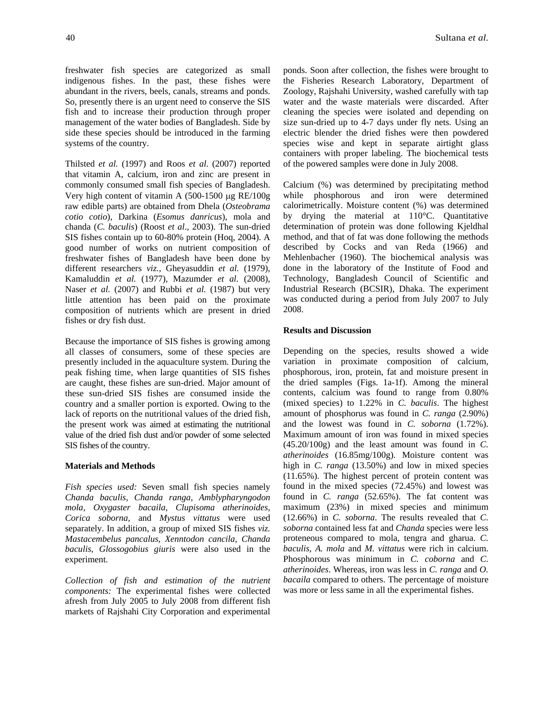freshwater fish species are categorized as small indigenous fishes. In the past, these fishes were abundant in the rivers, beels, canals, streams and ponds. So, presently there is an urgent need to conserve the SIS fish and to increase their production through proper management of the water bodies of Bangladesh. Side by side these species should be introduced in the farming systems of the country.

Thilsted *et al.* (1997) and Roos *et al*. (2007) reported that vitamin A, calcium, iron and zinc are present in commonly consumed small fish species of Bangladesh. Very high content of vitamin A (500-1500 µg RE/100g raw edible parts) are obtained from Dhela (*Osteobrama cotio cotio*), Darkina (*Esomus danricus*), mola and chanda (*C. baculis*) (Roost *et al*., 2003). The sun-dried SIS fishes contain up to 60-80% protein (Hoq, 2004). A good number of works on nutrient composition of freshwater fishes of Bangladesh have been done by different researchers *viz.,* Gheyasuddin *et al.* (1979), Kamaluddin *et al.* (1977), Mazumder *et al.* (2008), Naser *et al.* (2007) and Rubbi *et al.* (1987) but very little attention has been paid on the proximate composition of nutrients which are present in dried fishes or dry fish dust.

Because the importance of SIS fishes is growing among all classes of consumers, some of these species are presently included in the aquaculture system. During the peak fishing time, when large quantities of SIS fishes are caught, these fishes are sun-dried. Major amount of these sun-dried SIS fishes are consumed inside the country and a smaller portion is exported. Owing to the lack of reports on the nutritional values of the dried fish, the present work was aimed at estimating the nutritional value of the dried fish dust and/or powder of some selected SIS fishes of the country.

## **Materials and Methods**

*Fish species used:* Seven small fish species namely *Chanda baculis, Chanda ranga, Amblypharyngodon mola, Oxygaster bacaila, Clupisoma atherinoides, Corica soborna,* and *Mystus vittatus* were used separately. In addition, a group of mixed SIS fishes *viz. Mastacembelus pancalus*, *Xenntodon cancila*, *Chanda baculis*, *Glossogobius giuris* were also used in the experiment.

*Collection of fish and estimation of the nutrient components:* The experimental fishes were collected afresh from July 2005 to July 2008 from different fish markets of Rajshahi City Corporation and experimental

ponds. Soon after collection, the fishes were brought to the Fisheries Research Laboratory, Department of Zoology, Rajshahi University, washed carefully with tap water and the waste materials were discarded. After cleaning the species were isolated and depending on size sun-dried up to 4-7 days under fly nets. Using an electric blender the dried fishes were then powdered species wise and kept in separate airtight glass containers with proper labeling. The biochemical tests of the powered samples were done in July 2008.

Calcium (%) was determined by precipitating method while phosphorous and iron were determined calorimetrically. Moisture content (%) was determined by drying the material at 110°C. Quantitative determination of protein was done following Kjeldhal method, and that of fat was done following the methods described by Cocks and van Reda (1966) and Mehlenbacher (1960). The biochemical analysis was done in the laboratory of the Institute of Food and Technology, Bangladesh Council of Scientific and Industrial Research (BCSIR), Dhaka. The experiment was conducted during a period from July 2007 to July 2008.

# **Results and Discussion**

Depending on the species, results showed a wide variation in proximate composition of calcium, phosphorous, iron, protein, fat and moisture present in the dried samples (Figs. 1a-1f). Among the mineral contents, calcium was found to range from 0.80% (mixed species) to 1.22% in *C. baculis*. The highest amount of phosphorus was found in *C. ranga* (2.90%) and the lowest was found in *C. soborna* (1.72%). Maximum amount of iron was found in mixed species (45.20/100g) and the least amount was found in *C. atherinoides* (16.85mg/100g). Moisture content was high in *C. ranga* (13.50%) and low in mixed species (11.65%). The highest percent of protein content was found in the mixed species (72.45%) and lowest was found in *C. ranga* (52.65%). The fat content was maximum (23%) in mixed species and minimum (12.66%) in *C. soborna*. The results revealed that *C. soborna* contained less fat and *Chanda* species were less proteneous compared to mola, tengra and gharua. *C. baculis*, *A. mola* and *M. vittatus* were rich in calcium. Phosphorous was minimum in *C. coborna* and *C. atherinoides*. Whereas, iron was less in *C. ranga* and *O. bacaila* compared to others. The percentage of moisture was more or less same in all the experimental fishes.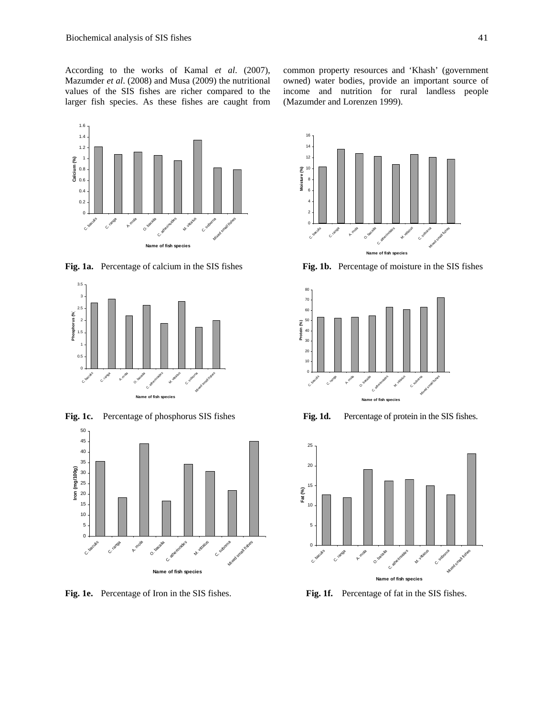According to the works of Kamal *et al*. (2007), Mazumder *et al*. (2008) and Musa (2009) the nutritional values of the SIS fishes are richer compared to the larger fish species. As these fishes are caught from common property resources and 'Khash' (government owned) water bodies, provide an important source of income and nutrition for rural landless people (Mazumder and Lorenzen 1999).





**Fig. 1c.** Percentage of phosphorus SIS fishes **Fig. 1d.** Percentage of protein in the SIS fishes.





**Fig. 1a.** Percentage of calcium in the SIS fishes **Fig. 1b.** Percentage of moisture in the SIS fishes





**Fig. 1e.** Percentage of Iron in the SIS fishes. **Fig. 1f.** Percentage of fat in the SIS fishes.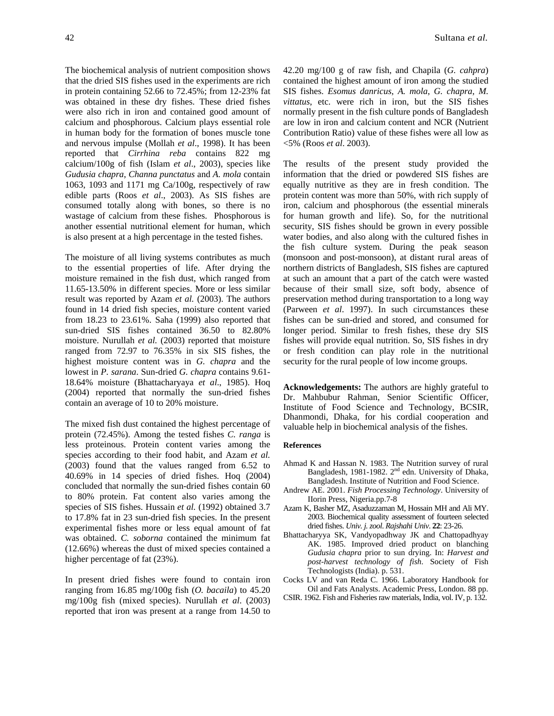The biochemical analysis of nutrient composition shows that the dried SIS fishes used in the experiments are rich in protein containing 52.66 to 72.45%; from 12-23% fat was obtained in these dry fishes. These dried fishes were also rich in iron and contained good amount of calcium and phosphorous. Calcium plays essential role in human body for the formation of bones muscle tone and nervous impulse (Mollah *et al*., 1998). It has been reported that *Cirrhina reba* contains 822 mg calcium/100g of fish (Islam *et al*., 2003), species like *Gudusia chapra*, *Channa punctatus* and *A. mola* contain 1063, 1093 and 1171 mg Ca/100g, respectively of raw edible parts (Roos *et al*., 2003). As SIS fishes are consumed totally along with bones, so there is no wastage of calcium from these fishes. Phosphorous is another essential nutritional element for human, which is also present at a high percentage in the tested fishes.

The moisture of all living systems contributes as much to the essential properties of life. After drying the moisture remained in the fish dust, which ranged from 11.65-13.50% in different species. More or less similar result was reported by Azam *et al.* (2003). The authors found in 14 dried fish species, moisture content varied from 18.23 to 23.61%. Saha (1999) also reported that sun-dried SIS fishes contained 36.50 to 82.80% moisture. Nurullah *et al.* (2003) reported that moisture ranged from 72.97 to 76.35% in six SIS fishes, the highest moisture content was in *G. chapra* and the lowest in *P. sarana*. Sun-dried *G. chapra* contains 9.61- 18.64% moisture (Bhattacharyaya *et al*., 1985). Hoq (2004) reported that normally the sun-dried fishes contain an average of 10 to 20% moisture.

The mixed fish dust contained the highest percentage of protein (72.45%). Among the tested fishes *C. ranga* is less proteinous. Protein content varies among the species according to their food habit, and Azam *et al.* (2003) found that the values ranged from 6.52 to 40.69% in 14 species of dried fishes. Hoq (2004) concluded that normally the sun-dried fishes contain 60 to 80% protein. Fat content also varies among the species of SIS fishes. Hussain *et al.* (1992) obtained 3.7 to 17.8% fat in 23 sun-dried fish species. In the present experimental fishes more or less equal amount of fat was obtained. *C. soborna* contained the minimum fat (12.66%) whereas the dust of mixed species contained a higher percentage of fat (23%).

In present dried fishes were found to contain iron ranging from 16.85 mg/100g fish (*O. bacaila*) to 45.20 mg/100g fish (mixed species). Nurullah *et al*. (2003) reported that iron was present at a range from 14.50 to

42.20 mg/100 g of raw fish, and Chapila (*G. cahpra*) contained the highest amount of iron among the studied SIS fishes. *Esomus danricus*, *A. mola*, *G. chapra*, *M. vittatus*, etc. were rich in iron, but the SIS fishes normally present in the fish culture ponds of Bangladesh are low in iron and calcium content and NCR (Nutrient Contribution Ratio) value of these fishes were all low as <5% (Roos *et al*. 2003).

The results of the present study provided the information that the dried or powdered SIS fishes are equally nutritive as they are in fresh condition. The protein content was more than 50%, with rich supply of iron, calcium and phosphorous (the essential minerals for human growth and life). So, for the nutritional security, SIS fishes should be grown in every possible water bodies, and also along with the cultured fishes in the fish culture system. During the peak season (monsoon and post-monsoon), at distant rural areas of northern districts of Bangladesh, SIS fishes are captured at such an amount that a part of the catch were wasted because of their small size, soft body, absence of preservation method during transportation to a long way (Parween *et al*. 1997). In such circumstances these fishes can be sun-dried and stored, and consumed for longer period. Similar to fresh fishes, these dry SIS fishes will provide equal nutrition. So, SIS fishes in dry or fresh condition can play role in the nutritional security for the rural people of low income groups.

**Acknowledgements:** The authors are highly grateful to Dr. Mahbubur Rahman, Senior Scientific Officer, Institute of Food Science and Technology, BCSIR, Dhanmondi, Dhaka, for his cordial cooperation and valuable help in biochemical analysis of the fishes.

### **References**

- Ahmad K and Hassan N. 1983. The Nutrition survey of rural Bangladesh, 1981-1982. 2<sup>nd</sup> edn. University of Dhaka, Bangladesh. Institute of Nutrition and Food Science.
- Andrew AE. 2001. *Fish Processing Technology*. University of IIorin Press, Nigeria.pp.7-8
- Azam K, Basher MZ, Asaduzzaman M, Hossain MH and Ali MY. 2003. Biochemical quality assessment of fourteen selected dried fishes. *Univ. j. zool*. *Rajshahi Univ*. **22**: 23-26.
- Bhattacharyya SK, Vandyopadhway JK and Chattopadhyay AK. 1985. Improved dried product on blanching *Gudusia chapra* prior to sun drying. In: *Harvest and post-harvest technology of fish*. Society of Fish Technologists (India). p. 531.
- Cocks LV and van Reda C. 1966. Laboratory Handbook for Oil and Fats Analysts. Academic Press, London. 88 pp.
- CSIR. 1962. Fish and Fisheries raw materials, India, vol. IV, p. 132.